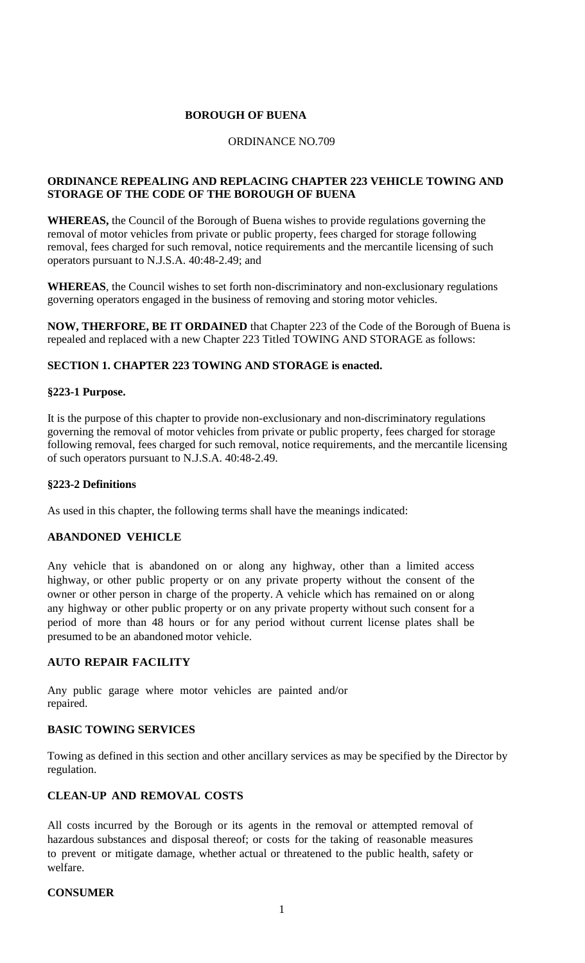## **BOROUGH OF BUENA**

#### ORDINANCE NO.709

## **ORDINANCE REPEALING AND REPLACING CHAPTER 223 VEHICLE TOWING AND STORAGE OF THE CODE OF THE BOROUGH OF BUENA**

**WHEREAS,** the Council of the Borough of Buena wishes to provide regulations governing the removal of motor vehicles from private or public property, fees charged for storage following removal, fees charged for such removal, notice requirements and the mercantile licensing of such operators pursuant to N.J.S.A. 40:48-2.49; and

**WHEREAS**, the Council wishes to set forth non-discriminatory and non-exclusionary regulations governing operators engaged in the business of removing and storing motor vehicles.

**NOW, THERFORE, BE IT ORDAINED** that Chapter 223 of the Code of the Borough of Buena is repealed and replaced with a new Chapter 223 Titled TOWING AND STORAGE as follows:

### **SECTION 1. CHAPTER 223 TOWING AND STORAGE is enacted.**

#### **§223-1 Purpose.**

It is the purpose of this chapter to provide non-exclusionary and non-discriminatory regulations governing the removal of motor vehicles from private or public property, fees charged for storage following removal, fees charged for such removal, notice requirements, and the mercantile licensing of such operators pursuant to N.J.S.A. 40:48-2.49.

#### **§223-2 Definitions**

As used in this chapter, the following terms shall have the meanings indicated:

### **ABANDONED VEHICLE**

Any vehicle that is abandoned on or along any highway, other than a limited access highway, or other public property or on any private property without the consent of the owner or other person in charge of the property. A vehicle which has remained on or along any highway or other public property or on any private property without such consent for a period of more than 48 hours or for any period without current license plates shall be presumed to be an abandoned motor vehicle.

### **AUTO REPAIR FACILITY**

Any public garage where motor vehicles are painted and/or repaired.

#### **BASIC TOWING SERVICES**

Towing as defined in this section and other ancillary services as may be specified by the Director by regulation.

### **CLEAN-UP AND REMOVAL COSTS**

All costs incurred by the Borough or its agents in the removal or attempted removal of hazardous substances and disposal thereof; or costs for the taking of reasonable measures to prevent or mitigate damage, whether actual or threatened to the public health, safety or welfare.

### **CONSUMER**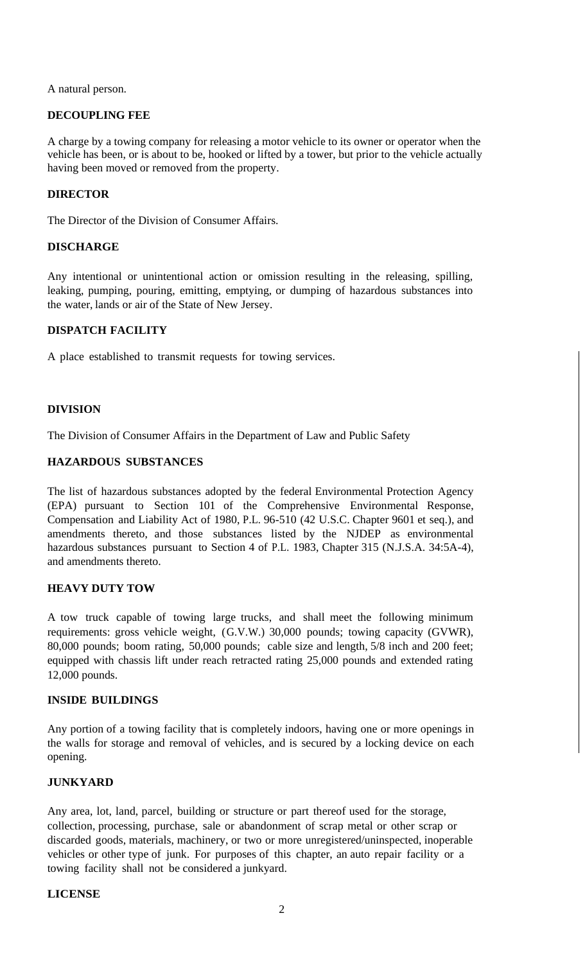A natural person.

## **DECOUPLING FEE**

A charge by a towing company for releasing a motor vehicle to its owner or operator when the vehicle has been, or is about to be, hooked or lifted by a tower, but prior to the vehicle actually having been moved or removed from the property.

## **DIRECTOR**

The Director of the Division of Consumer Affairs.

### **DISCHARGE**

Any intentional or unintentional action or omission resulting in the releasing, spilling, leaking, pumping, pouring, emitting, emptying, or dumping of hazardous substances into the water, lands or air of the State of New Jersey.

## **DISPATCH FACILITY**

A place established to transmit requests for towing services.

# **DIVISION**

The Division of Consumer Affairs in the Department of Law and Public Safety

## **HAZARDOUS SUBSTANCES**

The list of hazardous substances adopted by the federal Environmental Protection Agency (EPA) pursuant to Section 101 of the Comprehensive Environmental Response, Compensation and Liability Act of 1980, P.L. 96-510 (42 U.S.C. Chapter 9601 et seq.), and amendments thereto, and those substances listed by the NJDEP as environmental hazardous substances pursuant to Section 4 of P.L. 1983, Chapter 315 (N.J.S.A. 34:5A-4), and amendments thereto.

# **HEAVY DUTY TOW**

A tow truck capable of towing large trucks, and shall meet the following minimum requirements: gross vehicle weight, (G.V.W.) 30,000 pounds; towing capacity (GVWR), 80,000 pounds; boom rating, 50,000 pounds; cable size and length, 5/8 inch and 200 feet; equipped with chassis lift under reach retracted rating 25,000 pounds and extended rating 12,000 pounds.

# **INSIDE BUILDINGS**

Any portion of a towing facility that is completely indoors, having one or more openings in the walls for storage and removal of vehicles, and is secured by a locking device on each opening.

# **JUNKYARD**

Any area, lot, land, parcel, building or structure or part thereof used for the storage, collection, processing, purchase, sale or abandonment of scrap metal or other scrap or discarded goods, materials, machinery, or two or more unregistered/uninspected, inoperable vehicles or other type of junk. For purposes of this chapter, an auto repair facility or a towing facility shall not be considered a junkyard.

### **LICENSE**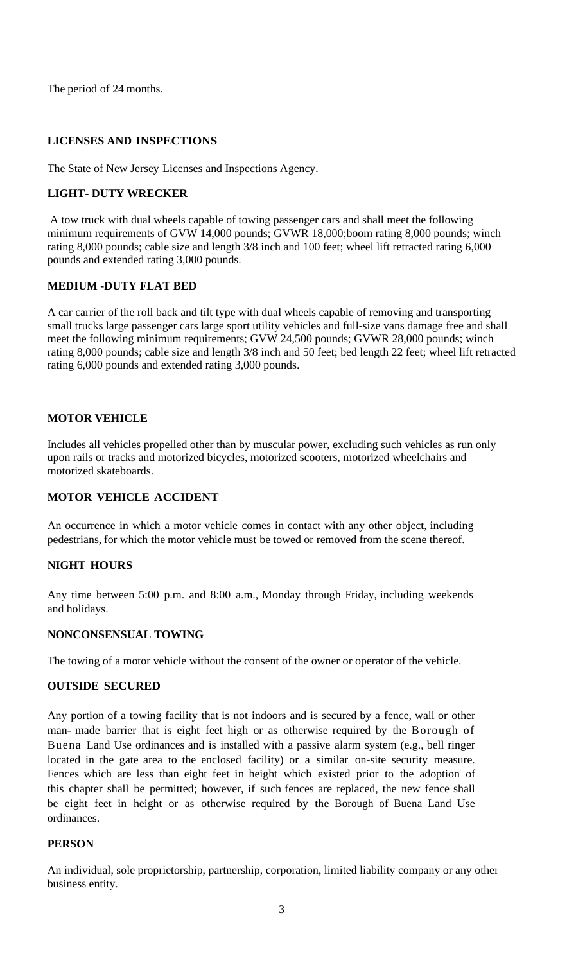The period of 24 months.

# **LICENSES AND INSPECTIONS**

The State of New Jersey Licenses and Inspections Agency.

# **LIGHT- DUTY WRECKER**

A tow truck with dual wheels capable of towing passenger cars and shall meet the following minimum requirements of GVW 14,000 pounds; GVWR 18,000;boom rating 8,000 pounds; winch rating 8,000 pounds; cable size and length 3/8 inch and 100 feet; wheel lift retracted rating 6,000 pounds and extended rating 3,000 pounds.

## **MEDIUM -DUTY FLAT BED**

A car carrier of the roll back and tilt type with dual wheels capable of removing and transporting small trucks large passenger cars large sport utility vehicles and full-size vans damage free and shall meet the following minimum requirements; GVW 24,500 pounds; GVWR 28,000 pounds; winch rating 8,000 pounds; cable size and length 3/8 inch and 50 feet; bed length 22 feet; wheel lift retracted rating 6,000 pounds and extended rating 3,000 pounds.

## **MOTOR VEHICLE**

Includes all vehicles propelled other than by muscular power, excluding such vehicles as run only upon rails or tracks and motorized bicycles, motorized scooters, motorized wheelchairs and motorized skateboards.

# **MOTOR VEHICLE ACCIDENT**

An occurrence in which a motor vehicle comes in contact with any other object, including pedestrians, for which the motor vehicle must be towed or removed from the scene thereof.

### **NIGHT HOURS**

Any time between 5:00 p.m. and 8:00 a.m., Monday through Friday, including weekends and holidays.

### **NONCONSENSUAL TOWING**

The towing of a motor vehicle without the consent of the owner or operator of the vehicle.

### **OUTSIDE SECURED**

Any portion of a towing facility that is not indoors and is secured by a fence, wall or other man- made barrier that is eight feet high or as otherwise required by the Borough of Buena Land Use ordinances and is installed with a passive alarm system (e.g., bell ringer located in the gate area to the enclosed facility) or a similar on-site security measure. Fences which are less than eight feet in height which existed prior to the adoption of this chapter shall be permitted; however, if such fences are replaced, the new fence shall be eight feet in height or as otherwise required by the Borough of Buena Land Use ordinances.

### **PERSON**

An individual, sole proprietorship, partnership, corporation, limited liability company or any other business entity.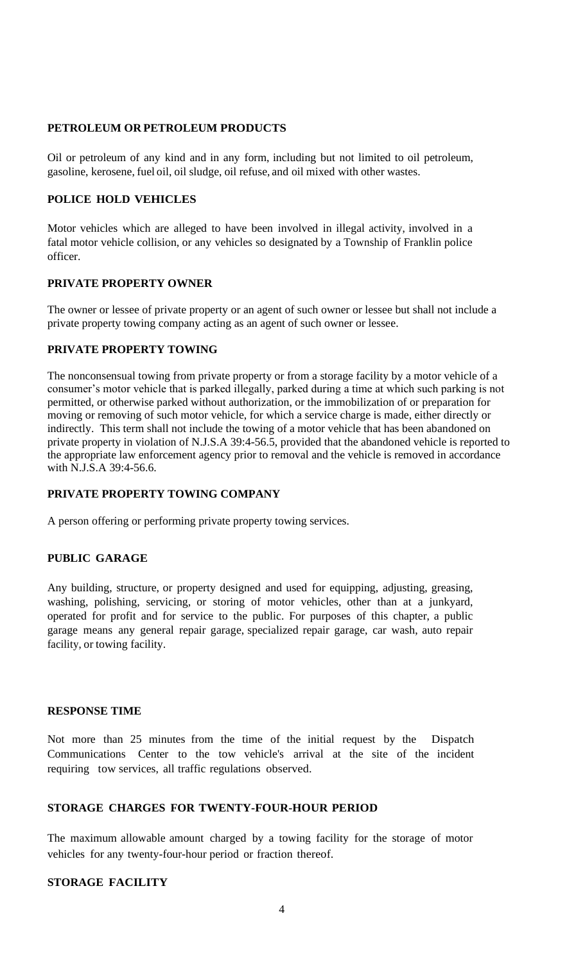## **PETROLEUM OR PETROLEUM PRODUCTS**

Oil or petroleum of any kind and in any form, including but not limited to oil petroleum, gasoline, kerosene, fuel oil, oil sludge, oil refuse, and oil mixed with other wastes.

## **POLICE HOLD VEHICLES**

Motor vehicles which are alleged to have been involved in illegal activity, involved in a fatal motor vehicle collision, or any vehicles so designated by a Township of Franklin police officer.

#### **PRIVATE PROPERTY OWNER**

The owner or lessee of private property or an agent of such owner or lessee but shall not include a private property towing company acting as an agent of such owner or lessee.

## **PRIVATE PROPERTY TOWING**

The nonconsensual towing from private property or from a storage facility by a motor vehicle of a consumer's motor vehicle that is parked illegally, parked during a time at which such parking is not permitted, or otherwise parked without authorization, or the immobilization of or preparation for moving or removing of such motor vehicle, for which a service charge is made, either directly or indirectly. This term shall not include the towing of a motor vehicle that has been abandoned on private property in violation of N.J.S.A 39:4-56.5, provided that the abandoned vehicle is reported to the appropriate law enforcement agency prior to removal and the vehicle is removed in accordance with N.J.S.A 39:4-56.6.

### **PRIVATE PROPERTY TOWING COMPANY**

A person offering or performing private property towing services.

### **PUBLIC GARAGE**

Any building, structure, or property designed and used for equipping, adjusting, greasing, washing, polishing, servicing, or storing of motor vehicles, other than at a junkyard, operated for profit and for service to the public. For purposes of this chapter, a public garage means any general repair garage, specialized repair garage, car wash, auto repair facility, or towing facility.

### **RESPONSE TIME**

Not more than 25 minutes from the time of the initial request by the Dispatch Communications Center to the tow vehicle's arrival at the site of the incident requiring tow services, all traffic regulations observed.

# **STORAGE CHARGES FOR TWENTY-FOUR-HOUR PERIOD**

The maximum allowable amount charged by a towing facility for the storage of motor vehicles for any twenty-four-hour period or fraction thereof.

### **STORAGE FACILITY**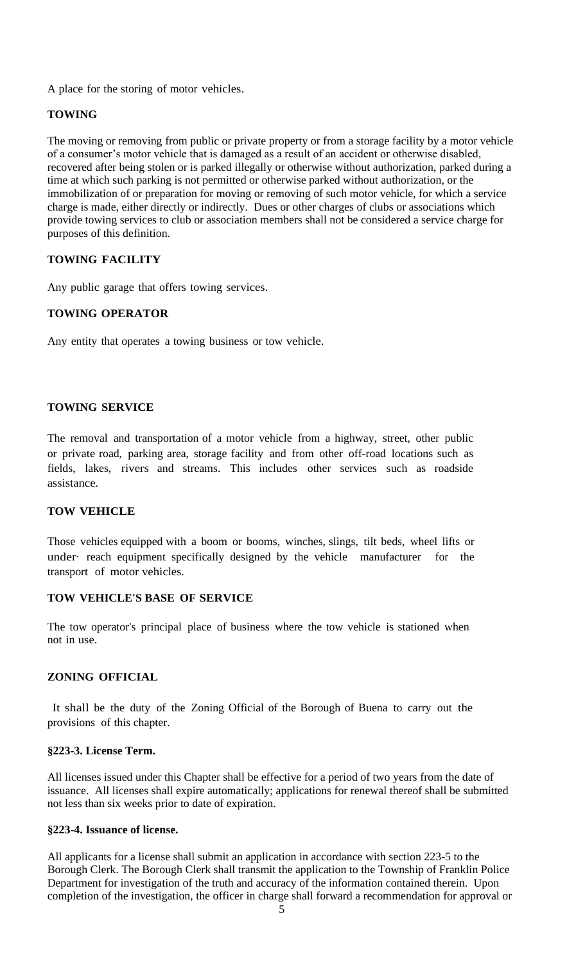A place for the storing of motor vehicles.

### **TOWING**

The moving or removing from public or private property or from a storage facility by a motor vehicle of a consumer's motor vehicle that is damaged as a result of an accident or otherwise disabled, recovered after being stolen or is parked illegally or otherwise without authorization, parked during a time at which such parking is not permitted or otherwise parked without authorization, or the immobilization of or preparation for moving or removing of such motor vehicle, for which a service charge is made, either directly or indirectly. Dues or other charges of clubs or associations which provide towing services to club or association members shall not be considered a service charge for purposes of this definition.

### **TOWING FACILITY**

Any public garage that offers towing services.

### **TOWING OPERATOR**

Any entity that operates a towing business or tow vehicle.

### **TOWING SERVICE**

The removal and transportation of a motor vehicle from a highway, street, other public or private road, parking area, storage facility and from other off-road locations such as fields, lakes, rivers and streams. This includes other services such as roadside assistance.

### **TOW VEHICLE**

Those vehicles equipped with a boom or booms, winches, slings, tilt beds, wheel lifts or under· reach equipment specifically designed by the vehicle manufacturer for the transport of motor vehicles.

### **TOW VEHICLE'S BASE OF SERVICE**

The tow operator's principal place of business where the tow vehicle is stationed when not in use.

### **ZONING OFFICIAL**

It shall be the duty of the Zoning Official of the Borough of Buena to carry out the provisions of this chapter.

### **§223-3. License Term.**

All licenses issued under this Chapter shall be effective for a period of two years from the date of issuance. All licenses shall expire automatically; applications for renewal thereof shall be submitted not less than six weeks prior to date of expiration.

### **§223-4. Issuance of license.**

All applicants for a license shall submit an application in accordance with section 223-5 to the Borough Clerk. The Borough Clerk shall transmit the application to the Township of Franklin Police Department for investigation of the truth and accuracy of the information contained therein. Upon completion of the investigation, the officer in charge shall forward a recommendation for approval or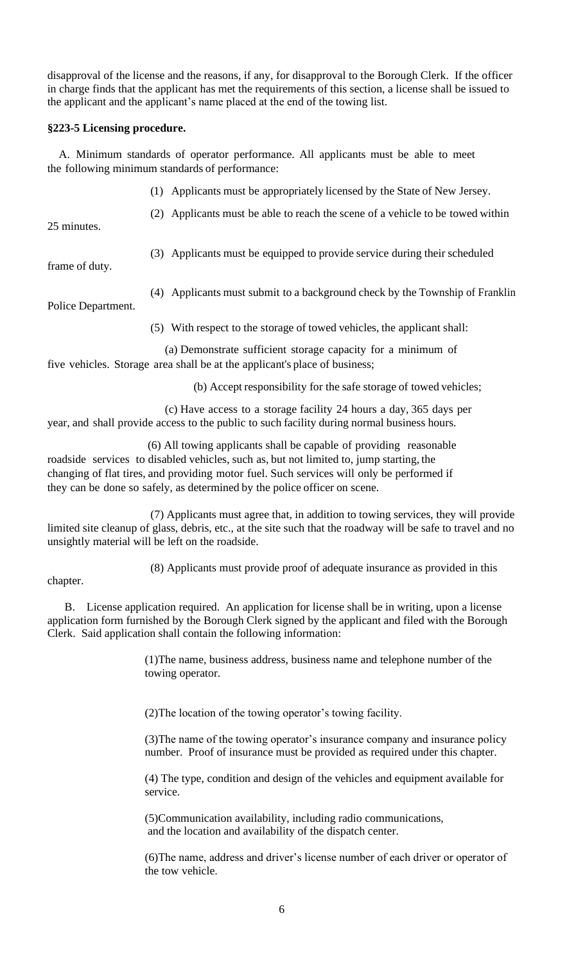disapproval of the license and the reasons, if any, for disapproval to the Borough Clerk. If the officer in charge finds that the applicant has met the requirements of this section, a license shall be issued to the applicant and the applicant's name placed at the end of the towing list.

### **§223-5 Licensing procedure.**

 A. Minimum standards of operator performance. All applicants must be able to meet the following minimum standards of performance:

- (1) Applicants must be appropriately licensed by the State of New Jersey.
- (2) Applicants must be able to reach the scene of a vehicle to be towed within

25 minutes.

(3) Applicants must be equipped to provide service during their scheduled

frame of duty.

(4) Applicants must submit to a background check by the Township of Franklin

Police Department.

(5) With respect to the storage of towed vehicles, the applicant shall:

 (a) Demonstrate sufficient storage capacity for a minimum of five vehicles. Storage area shall be at the applicant's place of business;

(b) Accept responsibility for the safe storage of towed vehicles;

 (c) Have access to a storage facility 24 hours a day, 365 days per year, and shall provide access to the public to such facility during normal business hours.

 (6) All towing applicants shall be capable of providing reasonable roadside services to disabled vehicles, such as, but not limited to, jump starting, the changing of flat tires, and providing motor fuel. Such services will only be performed if they can be done so safely, as determined by the police officer on scene.

 (7) Applicants must agree that, in addition to towing services, they will provide limited site cleanup of glass, debris, etc., at the site such that the roadway will be safe to travel and no unsightly material will be left on the roadside.

(8) Applicants must provide proof of adequate insurance as provided in this

### chapter.

 B. License application required. An application for license shall be in writing, upon a license application form furnished by the Borough Clerk signed by the applicant and filed with the Borough Clerk. Said application shall contain the following information:

> (1)The name, business address, business name and telephone number of the towing operator.

(2)The location of the towing operator's towing facility.

(3)The name of the towing operator's insurance company and insurance policy number. Proof of insurance must be provided as required under this chapter.

(4) The type, condition and design of the vehicles and equipment available for service.

 (5)Communication availability, including radio communications, and the location and availability of the dispatch center.

(6)The name, address and driver's license number of each driver or operator of the tow vehicle.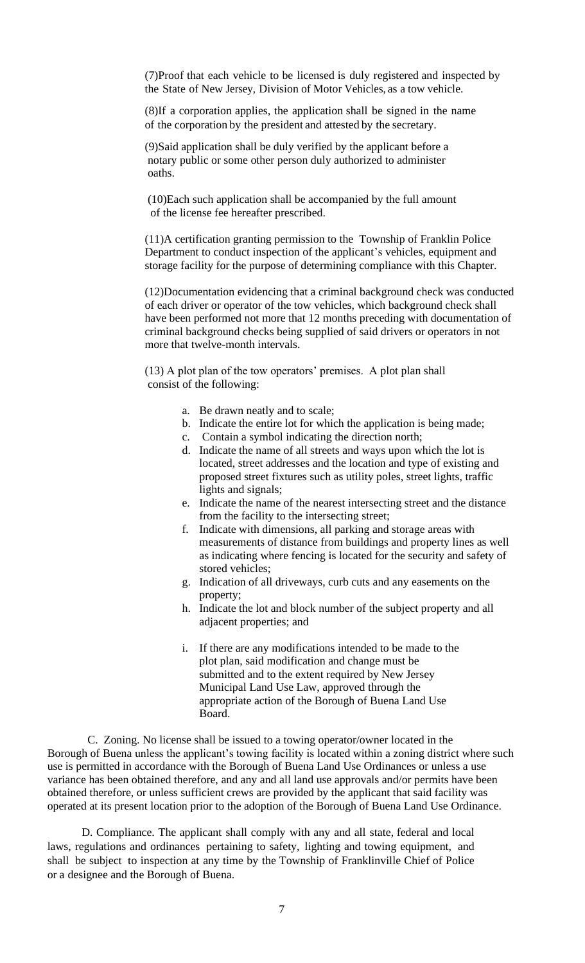(7)Proof that each vehicle to be licensed is duly registered and inspected by the State of New Jersey, Division of Motor Vehicles, as a tow vehicle.

(8)If a corporation applies, the application shall be signed in the name of the corporation by the president and attested by the secretary.

 (9)Said application shall be duly verified by the applicant before a notary public or some other person duly authorized to administer oaths.

 (10)Each such application shall be accompanied by the full amount of the license fee hereafter prescribed.

(11)A certification granting permission to the Township of Franklin Police Department to conduct inspection of the applicant's vehicles, equipment and storage facility for the purpose of determining compliance with this Chapter.

(12)Documentation evidencing that a criminal background check was conducted of each driver or operator of the tow vehicles, which background check shall have been performed not more that 12 months preceding with documentation of criminal background checks being supplied of said drivers or operators in not more that twelve-month intervals.

 (13) A plot plan of the tow operators' premises. A plot plan shall consist of the following:

- a. Be drawn neatly and to scale;
- b. Indicate the entire lot for which the application is being made;
- c. Contain a symbol indicating the direction north;
- d. Indicate the name of all streets and ways upon which the lot is located, street addresses and the location and type of existing and proposed street fixtures such as utility poles, street lights, traffic lights and signals;
- e. Indicate the name of the nearest intersecting street and the distance from the facility to the intersecting street;
- f. Indicate with dimensions, all parking and storage areas with measurements of distance from buildings and property lines as well as indicating where fencing is located for the security and safety of stored vehicles;
- g. Indication of all driveways, curb cuts and any easements on the property;
- h. Indicate the lot and block number of the subject property and all adjacent properties; and
- i. If there are any modifications intended to be made to the plot plan, said modification and change must be submitted and to the extent required by New Jersey Municipal Land Use Law, approved through the appropriate action of the Borough of Buena Land Use Board.

 C. Zoning. No license shall be issued to a towing operator/owner located in the Borough of Buena unless the applicant's towing facility is located within a zoning district where such use is permitted in accordance with the Borough of Buena Land Use Ordinances or unless a use variance has been obtained therefore, and any and all land use approvals and/or permits have been obtained therefore, or unless sufficient crews are provided by the applicant that said facility was operated at its present location prior to the adoption of the Borough of Buena Land Use Ordinance.

 D. Compliance. The applicant shall comply with any and all state, federal and local laws, regulations and ordinances pertaining to safety, lighting and towing equipment, and shall be subject to inspection at any time by the Township of Franklinville Chief of Police or a designee and the Borough of Buena.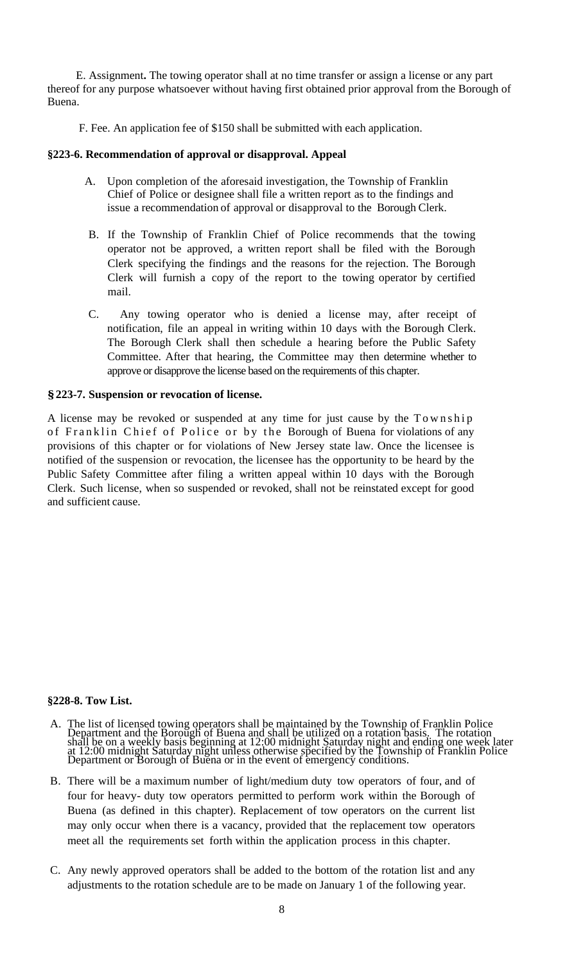E. Assignment**.** The towing operator shall at no time transfer or assign a license or any part thereof for any purpose whatsoever without having first obtained prior approval from the Borough of Buena.

F. Fee. An application fee of \$150 shall be submitted with each application.

#### **§223-6. Recommendation of approval or disapproval. Appeal**

- A. Upon completion of the aforesaid investigation, the Township of Franklin Chief of Police or designee shall file a written report as to the findings and issue a recommendation of approval or disapproval to the Borough Clerk.
- B. If the Township of Franklin Chief of Police recommends that the towing operator not be approved, a written report shall be filed with the Borough Clerk specifying the findings and the reasons for the rejection. The Borough Clerk will furnish a copy of the report to the towing operator by certified mail.
- C. Any towing operator who is denied a license may, after receipt of notification, file an appeal in writing within 10 days with the Borough Clerk. The Borough Clerk shall then schedule a hearing before the Public Safety Committee. After that hearing, the Committee may then determine whether to approve or disapprove the license based on the requirements of this chapter.

#### **§223-7. Suspension or revocation of license.**

A license may be revoked or suspended at any time for just cause by the Township of Franklin Chief of Police or by the Borough of Buena for violations of any provisions of this chapter or for violations of New Jersey state law. Once the licensee is notified of the suspension or revocation, the licensee has the opportunity to be heard by the Public Safety Committee after filing a written appeal within 10 days with the Borough Clerk. Such license, when so suspended or revoked, shall not be reinstated except for good and sufficient cause.

#### **§228-8. Tow List.**

- A. The list of licensed towing operators shall be maintained by the Township of Franklin Police Department and the Borough of Buena and shall be utilized on a rotation basis. The rotation shall be on a weekly basis beginning at 12:00 midnight Saturday night and ending one week later at 12:00 midnight Saturday night unless otherwise specified by the Township of Franklin Police Department or Borough of Buena or in the event of emergency conditions.
- B. There will be a maximum number of light/medium duty tow operators of four, and of four for heavy- duty tow operators permitted to perform work within the Borough of Buena (as defined in this chapter). Replacement of tow operators on the current list may only occur when there is a vacancy, provided that the replacement tow operators meet all the requirements set forth within the application process in this chapter.
- C. Any newly approved operators shall be added to the bottom of the rotation list and any adjustments to the rotation schedule are to be made on January 1 of the following year.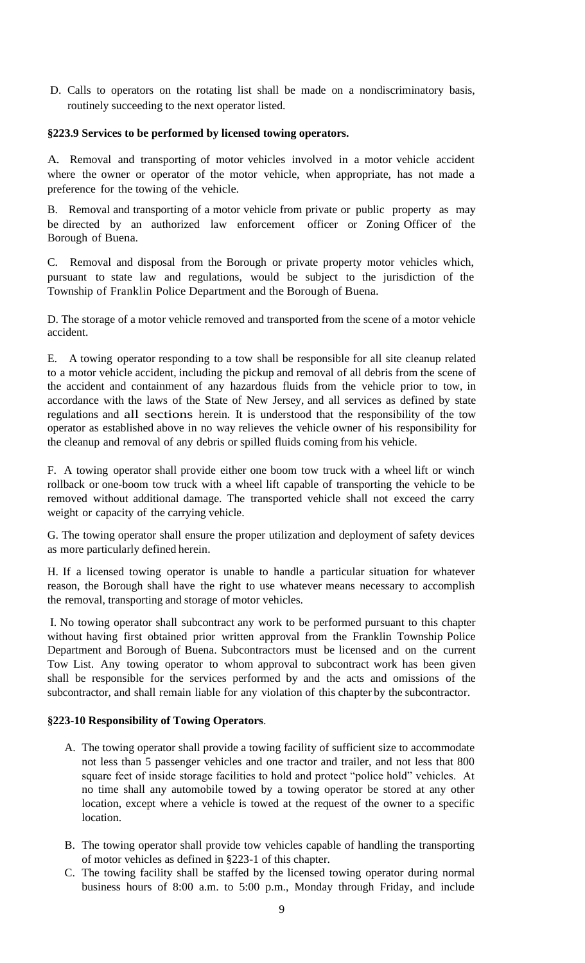D. Calls to operators on the rotating list shall be made on a nondiscriminatory basis, routinely succeeding to the next operator listed.

#### **§223.9 Services to be performed by licensed towing operators.**

A. Removal and transporting of motor vehicles involved in a motor vehicle accident where the owner or operator of the motor vehicle, when appropriate, has not made a preference for the towing of the vehicle.

B. Removal and transporting of a motor vehicle from private or public property as may be directed by an authorized law enforcement officer or Zoning Officer of the Borough of Buena.

C. Removal and disposal from the Borough or private property motor vehicles which, pursuant to state law and regulations, would be subject to the jurisdiction of the Township of Franklin Police Department and the Borough of Buena.

D. The storage of a motor vehicle removed and transported from the scene of a motor vehicle accident.

E. A towing operator responding to a tow shall be responsible for all site cleanup related to a motor vehicle accident, including the pickup and removal of all debris from the scene of the accident and containment of any hazardous fluids from the vehicle prior to tow, in accordance with the laws of the State of New Jersey, and all services as defined by state regulations and all sections herein. It is understood that the responsibility of the tow operator as established above in no way relieves the vehicle owner of his responsibility for the cleanup and removal of any debris or spilled fluids coming from his vehicle.

F. A towing operator shall provide either one boom tow truck with a wheel lift or winch rollback or one-boom tow truck with a wheel lift capable of transporting the vehicle to be removed without additional damage. The transported vehicle shall not exceed the carry weight or capacity of the carrying vehicle.

G. The towing operator shall ensure the proper utilization and deployment of safety devices as more particularly defined herein.

H. If a licensed towing operator is unable to handle a particular situation for whatever reason, the Borough shall have the right to use whatever means necessary to accomplish the removal, transporting and storage of motor vehicles.

I. No towing operator shall subcontract any work to be performed pursuant to this chapter without having first obtained prior written approval from the Franklin Township Police Department and Borough of Buena. Subcontractors must be licensed and on the current Tow List. Any towing operator to whom approval to subcontract work has been given shall be responsible for the services performed by and the acts and omissions of the subcontractor, and shall remain liable for any violation of this chapter by the subcontractor.

### **§223-10 Responsibility of Towing Operators**.

- A. The towing operator shall provide a towing facility of sufficient size to accommodate not less than 5 passenger vehicles and one tractor and trailer, and not less that 800 square feet of inside storage facilities to hold and protect "police hold" vehicles. At no time shall any automobile towed by a towing operator be stored at any other location, except where a vehicle is towed at the request of the owner to a specific location.
- B. The towing operator shall provide tow vehicles capable of handling the transporting of motor vehicles as defined in §223-1 of this chapter.
- C. The towing facility shall be staffed by the licensed towing operator during normal business hours of 8:00 a.m. to 5:00 p.m., Monday through Friday, and include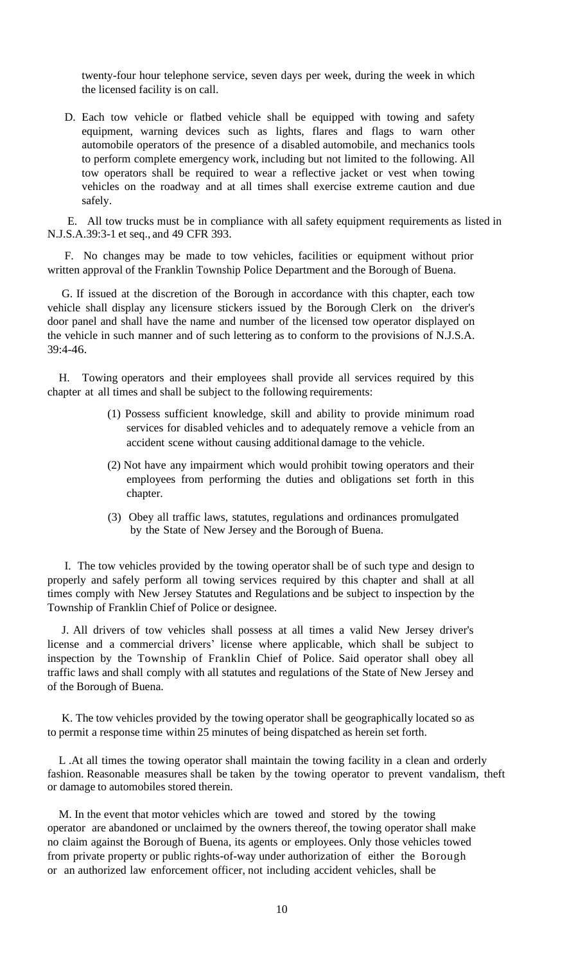twenty-four hour telephone service, seven days per week, during the week in which the licensed facility is on call.

D. Each tow vehicle or flatbed vehicle shall be equipped with towing and safety equipment, warning devices such as lights, flares and flags to warn other automobile operators of the presence of a disabled automobile, and mechanics tools to perform complete emergency work, including but not limited to the following. All tow operators shall be required to wear a reflective jacket or vest when towing vehicles on the roadway and at all times shall exercise extreme caution and due safely.

 E. All tow trucks must be in compliance with all safety equipment requirements as listed in N.J.S.A.39:3-1 et seq., and 49 CFR 393.

 F. No changes may be made to tow vehicles, facilities or equipment without prior written approval of the Franklin Township Police Department and the Borough of Buena.

 G. If issued at the discretion of the Borough in accordance with this chapter, each tow vehicle shall display any licensure stickers issued by the Borough Clerk on the driver's door panel and shall have the name and number of the licensed tow operator displayed on the vehicle in such manner and of such lettering as to conform to the provisions of N.J.S.A. 39:4-46.

 H. Towing operators and their employees shall provide all services required by this chapter at all times and shall be subject to the following requirements:

- (1) Possess sufficient knowledge, skill and ability to provide minimum road services for disabled vehicles and to adequately remove a vehicle from an accident scene without causing additional damage to the vehicle.
- (2) Not have any impairment which would prohibit towing operators and their employees from performing the duties and obligations set forth in this chapter.
- (3) Obey all traffic laws, statutes, regulations and ordinances promulgated by the State of New Jersey and the Borough of Buena.

 I. The tow vehicles provided by the towing operator shall be of such type and design to properly and safely perform all towing services required by this chapter and shall at all times comply with New Jersey Statutes and Regulations and be subject to inspection by the Township of Franklin Chief of Police or designee.

 J. All drivers of tow vehicles shall possess at all times a valid New Jersey driver's license and a commercial drivers' license where applicable, which shall be subject to inspection by the Township of Franklin Chief of Police. Said operator shall obey all traffic laws and shall comply with all statutes and regulations of the State of New Jersey and of the Borough of Buena.

 K. The tow vehicles provided by the towing operator shall be geographically located so as to permit a response time within 25 minutes of being dispatched as herein set forth.

 L .At all times the towing operator shall maintain the towing facility in a clean and orderly fashion. Reasonable measures shall be taken by the towing operator to prevent vandalism, theft or damage to automobiles stored therein.

 M. In the event that motor vehicles which are towed and stored by the towing operator are abandoned or unclaimed by the owners thereof, the towing operator shall make no claim against the Borough of Buena, its agents or employees. Only those vehicles towed from private property or public rights-of-way under authorization of either the Borough or an authorized law enforcement officer, not including accident vehicles, shall be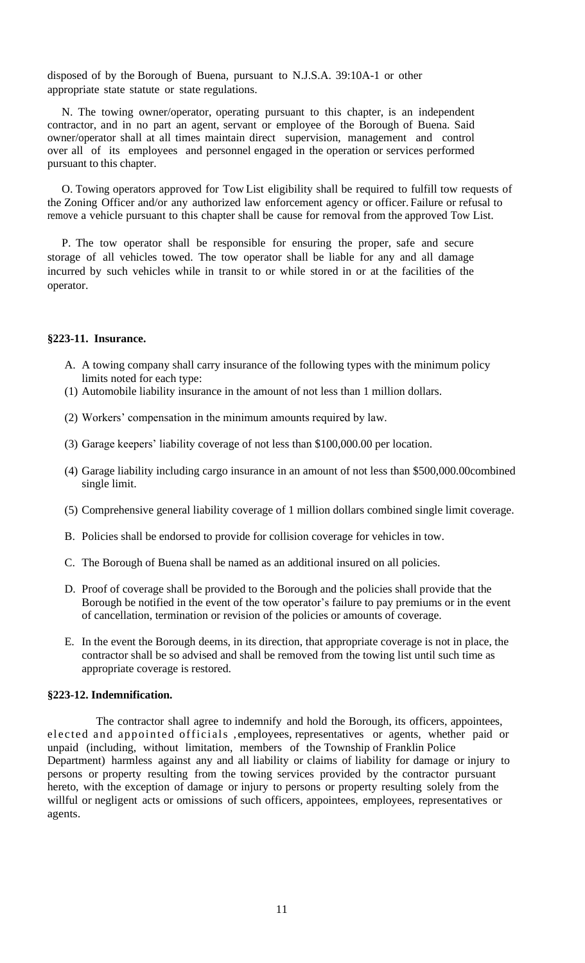disposed of by the Borough of Buena, pursuant to N.J.S.A. 39:10A-1 or other appropriate state statute or state regulations.

 N. The towing owner/operator, operating pursuant to this chapter, is an independent contractor, and in no part an agent, servant or employee of the Borough of Buena. Said owner/operator shall at all times maintain direct supervision, management and control over all of its employees and personnel engaged in the operation or services performed pursuant to this chapter.

 O. Towing operators approved for Tow List eligibility shall be required to fulfill tow requests of the Zoning Officer and/or any authorized law enforcement agency or officer. Failure or refusal to remove a vehicle pursuant to this chapter shall be cause for removal from the approved Tow List.

 P. The tow operator shall be responsible for ensuring the proper, safe and secure storage of all vehicles towed. The tow operator shall be liable for any and all damage incurred by such vehicles while in transit to or while stored in or at the facilities of the operator.

### **§223-11. Insurance.**

- A. A towing company shall carry insurance of the following types with the minimum policy limits noted for each type:
- (1) Automobile liability insurance in the amount of not less than 1 million dollars.
- (2) Workers' compensation in the minimum amounts required by law.
- (3) Garage keepers' liability coverage of not less than \$100,000.00 per location.
- (4) Garage liability including cargo insurance in an amount of not less than \$500,000.00combined single limit.
- (5) Comprehensive general liability coverage of 1 million dollars combined single limit coverage.
- B. Policies shall be endorsed to provide for collision coverage for vehicles in tow.
- C. The Borough of Buena shall be named as an additional insured on all policies.
- D. Proof of coverage shall be provided to the Borough and the policies shall provide that the Borough be notified in the event of the tow operator's failure to pay premiums or in the event of cancellation, termination or revision of the policies or amounts of coverage.
- E. In the event the Borough deems, in its direction, that appropriate coverage is not in place, the contractor shall be so advised and shall be removed from the towing list until such time as appropriate coverage is restored.

#### **§223-12. Indemnification.**

 The contractor shall agree to indemnify and hold the Borough, its officers, appointees, elected and appointed officials , employees, representatives or agents, whether paid or unpaid (including, without limitation, members of the Township of Franklin Police Department) harmless against any and all liability or claims of liability for damage or injury to persons or property resulting from the towing services provided by the contractor pursuant hereto, with the exception of damage or injury to persons or property resulting solely from the willful or negligent acts or omissions of such officers, appointees, employees, representatives or agents.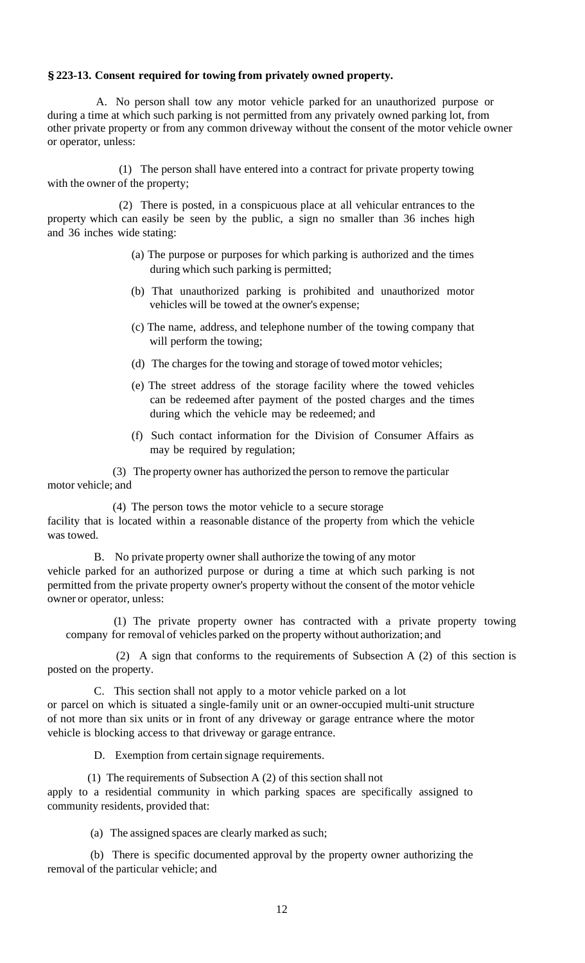### **§223-13. Consent required for towing from privately owned property.**

 A. No person shall tow any motor vehicle parked for an unauthorized purpose or during a time at which such parking is not permitted from any privately owned parking lot, from other private property or from any common driveway without the consent of the motor vehicle owner or operator, unless:

 (1) The person shall have entered into a contract for private property towing with the owner of the property;

 (2) There is posted, in a conspicuous place at all vehicular entrances to the property which can easily be seen by the public, a sign no smaller than 36 inches high and 36 inches wide stating:

- (a) The purpose or purposes for which parking is authorized and the times during which such parking is permitted;
- (b) That unauthorized parking is prohibited and unauthorized motor vehicles will be towed at the owner's expense;
- (c) The name, address, and telephone number of the towing company that will perform the towing;
- (d) The charges for the towing and storage of towed motor vehicles;
- (e) The street address of the storage facility where the towed vehicles can be redeemed after payment of the posted charges and the times during which the vehicle may be redeemed; and
- (f) Such contact information for the Division of Consumer Affairs as may be required by regulation;

(3) The property owner has authorized the person to remove the particular motor vehicle; and

(4) The person tows the motor vehicle to a secure storage facility that is located within a reasonable distance of the property from which the vehicle was towed.

B. No private property owner shall authorize the towing of any motor vehicle parked for an authorized purpose or during a time at which such parking is not permitted from the private property owner's property without the consent of the motor vehicle owner or operator, unless:

 (1) The private property owner has contracted with a private property towing company for removal of vehicles parked on the property without authorization; and

 (2) A sign that conforms to the requirements of Subsection A (2) of this section is posted on the property.

C. This section shall not apply to a motor vehicle parked on a lot or parcel on which is situated a single-family unit or an owner-occupied multi-unit structure of not more than six units or in front of any driveway or garage entrance where the motor vehicle is blocking access to that driveway or garage entrance.

D. Exemption from certain signage requirements.

 (1) The requirements of Subsection A (2) of this section shall not apply to a residential community in which parking spaces are specifically assigned to community residents, provided that:

(a) The assigned spaces are clearly marked as such;

 (b) There is specific documented approval by the property owner authorizing the removal of the particular vehicle; and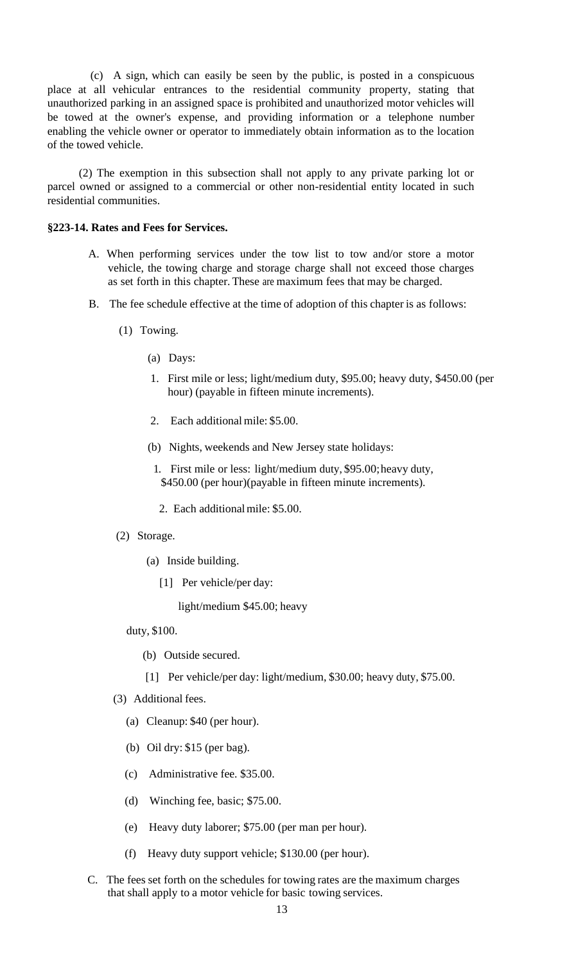(c) A sign, which can easily be seen by the public, is posted in a conspicuous place at all vehicular entrances to the residential community property, stating that unauthorized parking in an assigned space is prohibited and unauthorized motor vehicles will be towed at the owner's expense, and providing information or a telephone number enabling the vehicle owner or operator to immediately obtain information as to the location of the towed vehicle.

 (2) The exemption in this subsection shall not apply to any private parking lot or parcel owned or assigned to a commercial or other non-residential entity located in such residential communities.

#### **§223-14. Rates and Fees for Services.**

- A. When performing services under the tow list to tow and/or store a motor vehicle, the towing charge and storage charge shall not exceed those charges as set forth in this chapter. These are maximum fees that may be charged.
- B. The fee schedule effective at the time of adoption of this chapter is as follows:
	- (1) Towing.
		- (a) Days:
		- 1. First mile or less; light/medium duty, \$95.00; heavy duty, \$450.00 (per hour) (payable in fifteen minute increments).
		- 2. Each additional mile: \$5.00.
		- (b) Nights, weekends and New Jersey state holidays:
			- 1. First mile or less: light/medium duty, \$95.00;heavy duty, \$450.00 (per hour)(payable in fifteen minute increments).
			- 2. Each additionalmile: \$5.00.
	- (2) Storage.
		- (a) Inside building.
			- [1] Per vehicle/per day:

light/medium \$45.00; heavy

- duty, \$100.
	- (b) Outside secured.
	- [1] Per vehicle/per day: light/medium, \$30.00; heavy duty, \$75.00.
- (3) Additional fees.
	- (a) Cleanup: \$40 (per hour).
	- (b) Oil dry: \$15 (per bag).
	- (c) Administrative fee. \$35.00.
	- (d) Winching fee, basic; \$75.00.
	- (e) Heavy duty laborer; \$75.00 (per man per hour).
	- (f) Heavy duty support vehicle; \$130.00 (per hour).
- C. The fees set forth on the schedules for towing rates are the maximum charges that shall apply to a motor vehicle for basic towing services.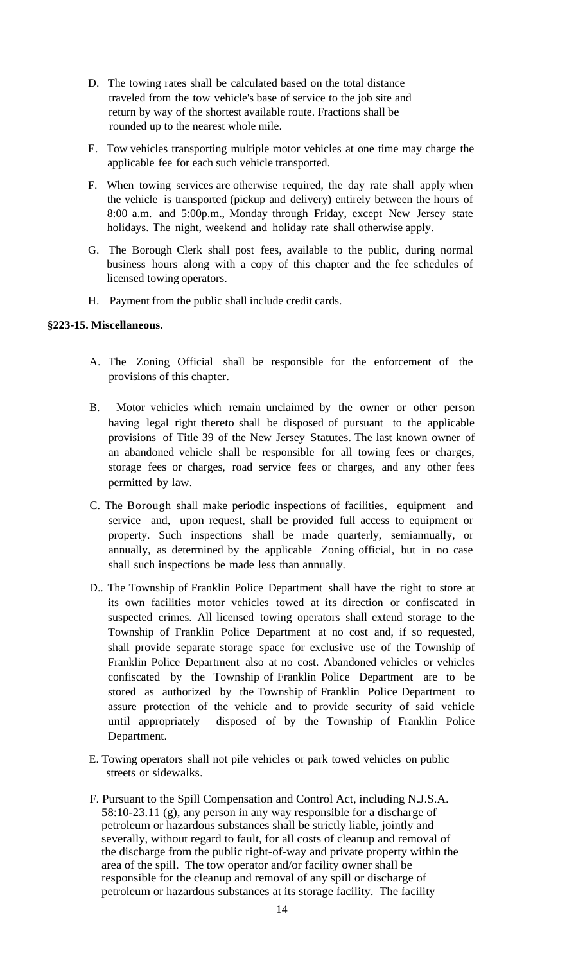- D. The towing rates shall be calculated based on the total distance traveled from the tow vehicle's base of service to the job site and return by way of the shortest available route. Fractions shall be rounded up to the nearest whole mile.
- E. Tow vehicles transporting multiple motor vehicles at one time may charge the applicable fee for each such vehicle transported.
- F. When towing services are otherwise required, the day rate shall apply when the vehicle is transported (pickup and delivery) entirely between the hours of 8:00 a.m. and 5:00p.m., Monday through Friday, except New Jersey state holidays. The night, weekend and holiday rate shall otherwise apply.
- G. The Borough Clerk shall post fees, available to the public, during normal business hours along with a copy of this chapter and the fee schedules of licensed towing operators.
- H. Payment from the public shall include credit cards.

#### **§223-15. Miscellaneous.**

- A. The Zoning Official shall be responsible for the enforcement of the provisions of this chapter.
- B. Motor vehicles which remain unclaimed by the owner or other person having legal right thereto shall be disposed of pursuant to the applicable provisions of Title 39 of the New Jersey Statutes. The last known owner of an abandoned vehicle shall be responsible for all towing fees or charges, storage fees or charges, road service fees or charges, and any other fees permitted by law.
- C. The Borough shall make periodic inspections of facilities, equipment and service and, upon request, shall be provided full access to equipment or property. Such inspections shall be made quarterly, semiannually, or annually, as determined by the applicable Zoning official, but in no case shall such inspections be made less than annually.
- D.. The Township of Franklin Police Department shall have the right to store at its own facilities motor vehicles towed at its direction or confiscated in suspected crimes. All licensed towing operators shall extend storage to the Township of Franklin Police Department at no cost and, if so requested, shall provide separate storage space for exclusive use of the Township of Franklin Police Department also at no cost. Abandoned vehicles or vehicles confiscated by the Township of Franklin Police Department are to be stored as authorized by the Township of Franklin Police Department to assure protection of the vehicle and to provide security of said vehicle until appropriately disposed of by the Township of Franklin Police Department.
- E. Towing operators shall not pile vehicles or park towed vehicles on public streets or sidewalks.
- F. Pursuant to the Spill Compensation and Control Act, including N.J.S.A. 58:10-23.11 (g), any person in any way responsible for a discharge of petroleum or hazardous substances shall be strictly liable, jointly and severally, without regard to fault, for all costs of cleanup and removal of the discharge from the public right-of-way and private property within the area of the spill. The tow operator and/or facility owner shall be responsible for the cleanup and removal of any spill or discharge of petroleum or hazardous substances at its storage facility. The facility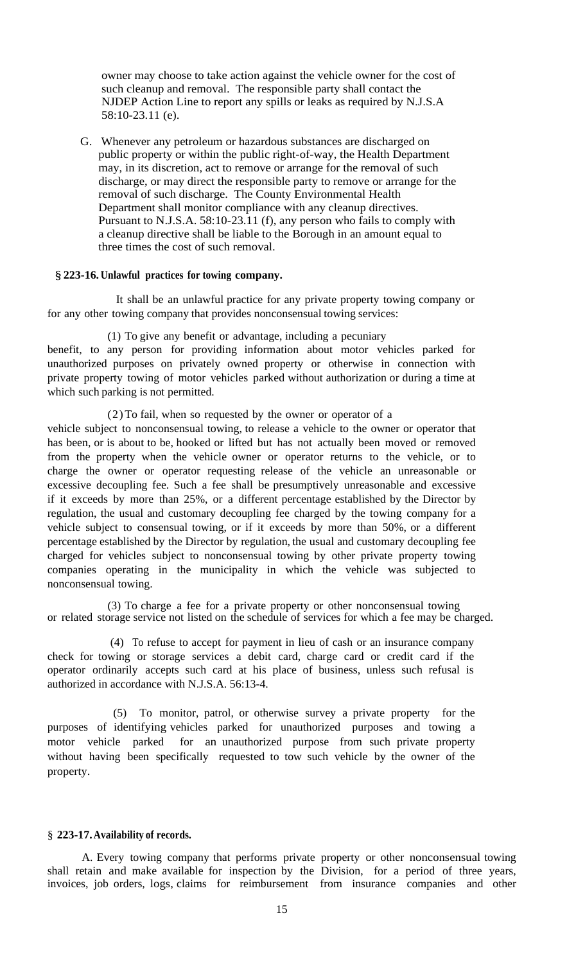owner may choose to take action against the vehicle owner for the cost of such cleanup and removal. The responsible party shall contact the NJDEP Action Line to report any spills or leaks as required by N.J.S.A 58:10-23.11 (e).

 G. Whenever any petroleum or hazardous substances are discharged on public property or within the public right-of-way, the Health Department may, in its discretion, act to remove or arrange for the removal of such discharge, or may direct the responsible party to remove or arrange for the removal of such discharge. The County Environmental Health Department shall monitor compliance with any cleanup directives. Pursuant to N.J.S.A. 58:10-23.11 (f), any person who fails to comply with a cleanup directive shall be liable to the Borough in an amount equal to three times the cost of such removal.

#### § **223-16. Unlawful practices for towing company.**

It shall be an unlawful practice for any private property towing company or for any other towing company that provides nonconsensual towing services:

(1) To give any benefit or advantage, including a pecuniary

benefit, to any person for providing information about motor vehicles parked for unauthorized purposes on privately owned property or otherwise in connection with private property towing of motor vehicles parked without authorization or during a time at which such parking is not permitted.

#### (2)To fail, when so requested by the owner or operator of a

vehicle subject to nonconsensual towing, to release a vehicle to the owner or operator that has been, or is about to be, hooked or lifted but has not actually been moved or removed from the property when the vehicle owner or operator returns to the vehicle, or to charge the owner or operator requesting release of the vehicle an unreasonable or excessive decoupling fee. Such a fee shall be presumptively unreasonable and excessive if it exceeds by more than 25%, or a different percentage established by the Director by regulation, the usual and customary decoupling fee charged by the towing company for a vehicle subject to consensual towing, or if it exceeds by more than 50%, or a different percentage established by the Director by regulation, the usual and customary decoupling fee charged for vehicles subject to nonconsensual towing by other private property towing companies operating in the municipality in which the vehicle was subjected to nonconsensual towing.

(3) To charge a fee for a private property or other nonconsensual towing or related storage service not listed on the schedule of services for which a fee may be charged.

 (4) To refuse to accept for payment in lieu of cash or an insurance company check for towing or storage services a debit card, charge card or credit card if the operator ordinarily accepts such card at his place of business, unless such refusal is authorized in accordance with N.J.S.A. 56:13-4.

 (5) To monitor, patrol, or otherwise survey a private property for the purposes of identifying vehicles parked for unauthorized purposes and towing a motor vehicle parked for an unauthorized purpose from such private property without having been specifically requested to tow such vehicle by the owner of the property.

#### § **223-17.Availability of records.**

 A. Every towing company that performs private property or other nonconsensual towing shall retain and make available for inspection by the Division, for a period of three years, invoices, job orders, logs, claims for reimbursement from insurance companies and other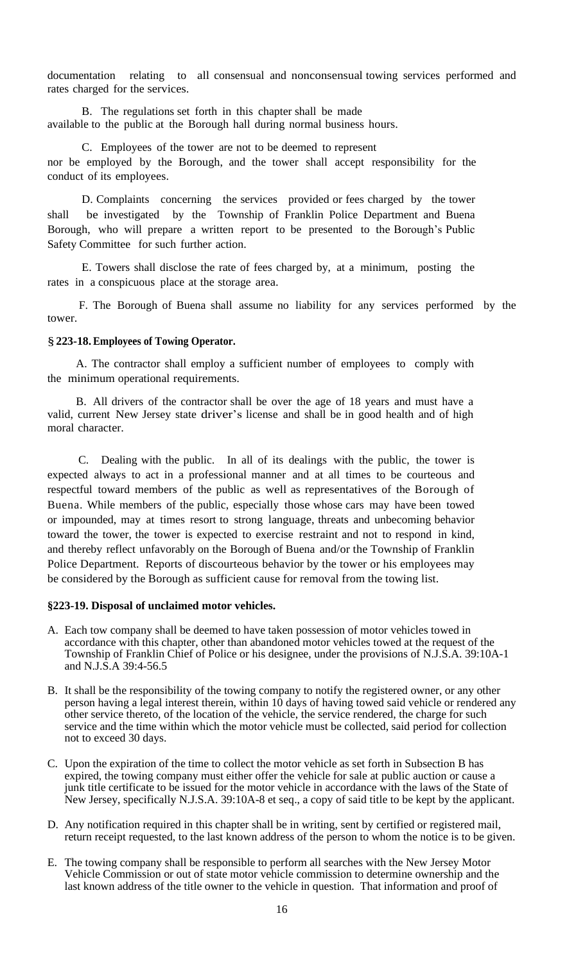documentation relating to all consensual and nonconsensual towing services performed and rates charged for the services.

 B. The regulations set forth in this chapter shall be made available to the public at the Borough hall during normal business hours.

 C. Employees of the tower are not to be deemed to represent nor be employed by the Borough, and the tower shall accept responsibility for the conduct of its employees.

 D. Complaints concerning the services provided or fees charged by the tower shall be investigated by the Township of Franklin Police Department and Buena Borough, who will prepare a written report to be presented to the Borough's Public Safety Committee for such further action.

 E. Towers shall disclose the rate of fees charged by, at a minimum, posting the rates in a conspicuous place at the storage area.

 F. The Borough of Buena shall assume no liability for any services performed by the tower.

#### §**223-18.Employees of Towing Operator.**

 A. The contractor shall employ a sufficient number of employees to comply with the minimum operational requirements.

 B. All drivers of the contractor shall be over the age of 18 years and must have a valid, current New Jersey state driver's license and shall be in good health and of high moral character.

 C. Dealing with the public. In all of its dealings with the public, the tower is expected always to act in a professional manner and at all times to be courteous and respectful toward members of the public as well as representatives of the Borough of Buena. While members of the public, especially those whose cars may have been towed or impounded, may at times resort to strong language, threats and unbecoming behavior toward the tower, the tower is expected to exercise restraint and not to respond in kind, and thereby reflect unfavorably on the Borough of Buena and/or the Township of Franklin Police Department. Reports of discourteous behavior by the tower or his employees may be considered by the Borough as sufficient cause for removal from the towing list.

#### **§223-19. Disposal of unclaimed motor vehicles.**

- A. Each tow company shall be deemed to have taken possession of motor vehicles towed in accordance with this chapter, other than abandoned motor vehicles towed at the request of the Township of Franklin Chief of Police or his designee, under the provisions of N.J.S.A. 39:10A-1 and N.J.S.A 39:4-56.5
- B. It shall be the responsibility of the towing company to notify the registered owner, or any other person having a legal interest therein, within 10 days of having towed said vehicle or rendered any other service thereto, of the location of the vehicle, the service rendered, the charge for such service and the time within which the motor vehicle must be collected, said period for collection not to exceed 30 days.
- C. Upon the expiration of the time to collect the motor vehicle as set forth in Subsection B has expired, the towing company must either offer the vehicle for sale at public auction or cause a junk title certificate to be issued for the motor vehicle in accordance with the laws of the State of New Jersey, specifically N.J.S.A. 39:10A-8 et seq., a copy of said title to be kept by the applicant.
- D. Any notification required in this chapter shall be in writing, sent by certified or registered mail, return receipt requested, to the last known address of the person to whom the notice is to be given.
- E. The towing company shall be responsible to perform all searches with the New Jersey Motor Vehicle Commission or out of state motor vehicle commission to determine ownership and the last known address of the title owner to the vehicle in question. That information and proof of